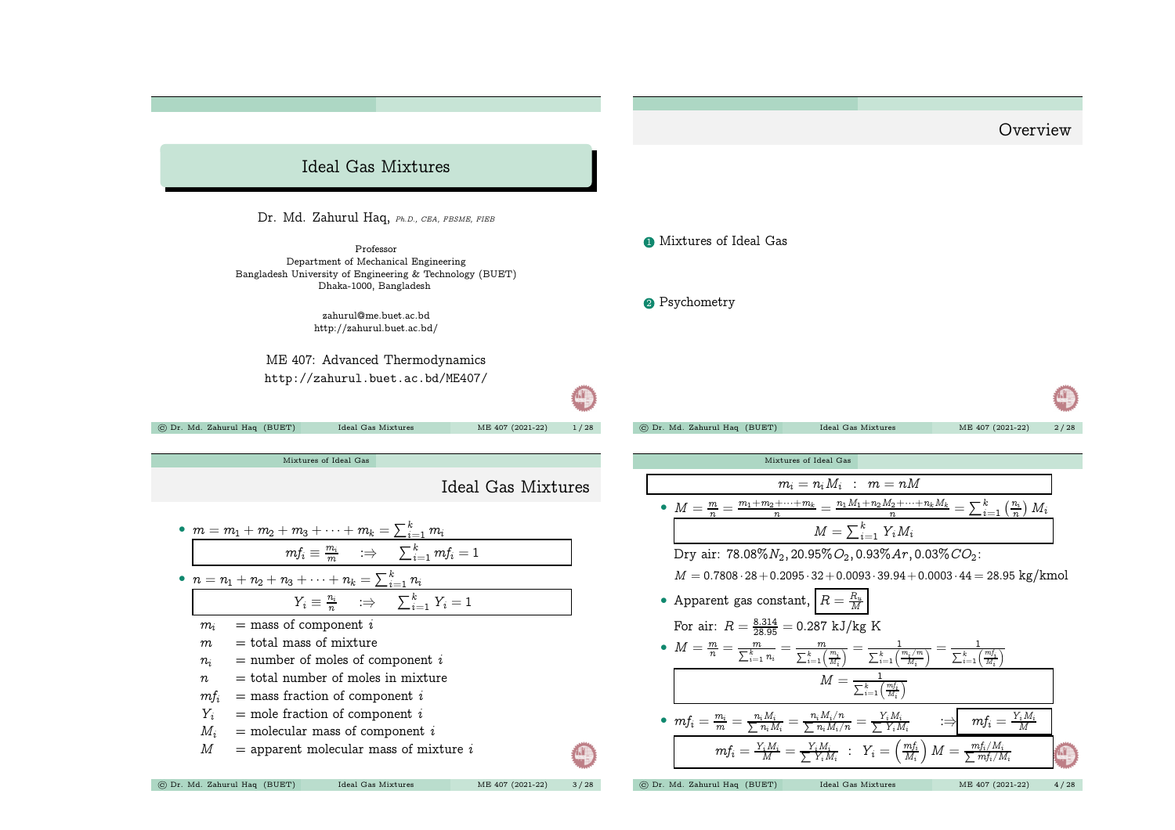<span id="page-0-0"></span>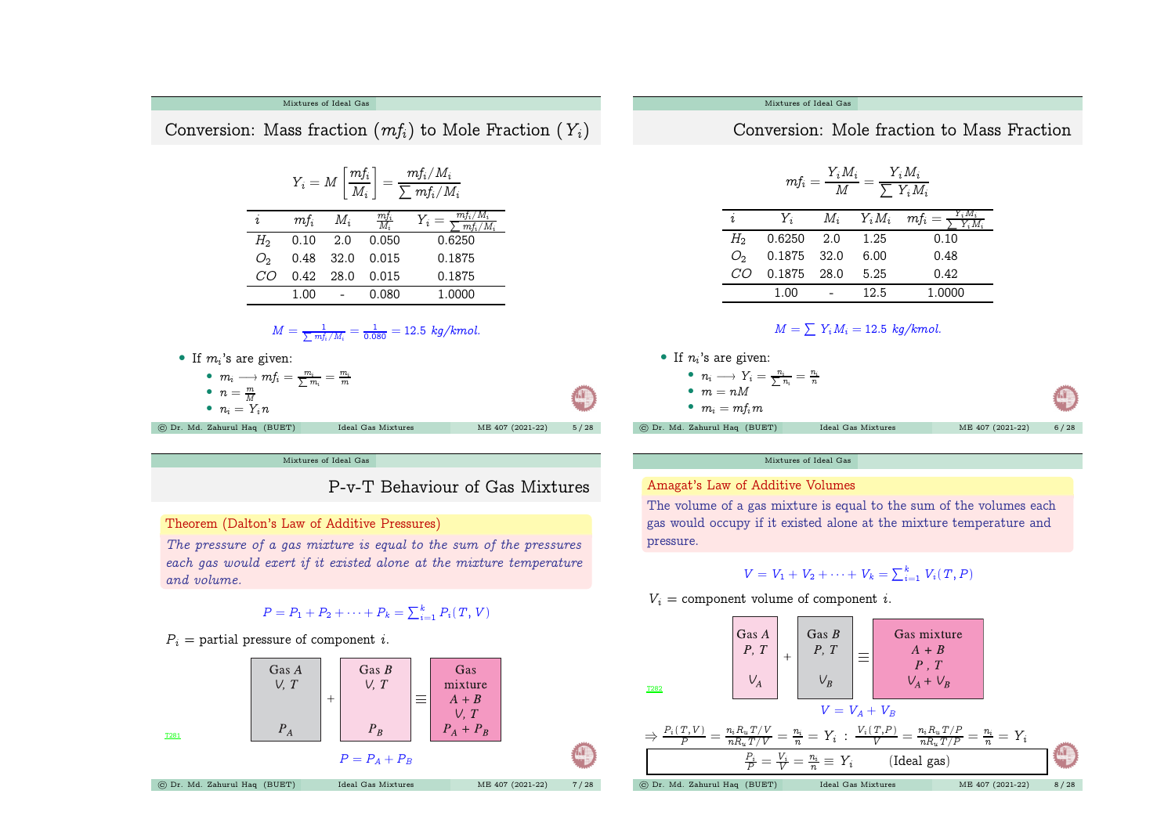

 $\Rightarrow \frac{P_i(T,V)}{P} = \frac{n_i R_u T/V}{n R_w T/V} = \frac{n_i}{n} = Y_i$  :  $\frac{V_i(T,P)}{V} = \frac{n_i R_u T/P}{n R_w T/P} = \frac{n_i}{n} = Y_i$ 

 $\,P_i$  $\frac{P_i}{P} =$   $\frac{V_i}{V} = \frac{n_i}{n}$ 

T281

 $P = P_A + P_B$ © Dr. Md. Zahurul Haq (BUET) Ideal Gas [Mixtures](#page-0-0) ME <sup>407</sup> (2021-22) <sup>7</sup> / <sup>28</sup>

 $P_R$ 

 $P_A + P_B$ 

 $P_A$ 

 $(Ideal gas)$ © Dr. Md. Zahurul Haq (BUET) Ideal Gas [Mixtures](#page-0-0) ME <sup>407</sup> (2021-22) <sup>8</sup> / <sup>28</sup>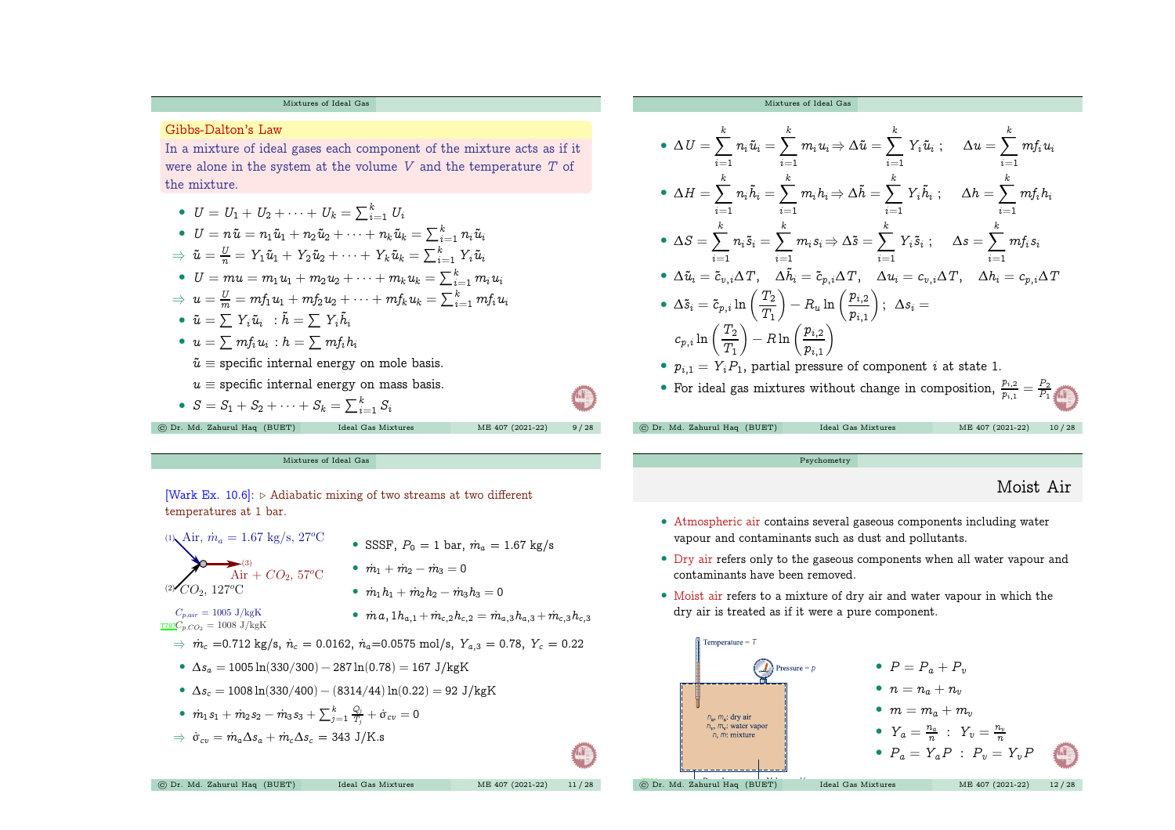## [Mixtures](#page-0-0) of Ideal Gas

Gibbs-Dalton's Law

In <sup>a</sup> mixture of ideal gases each component of the mixture acts as if it were alone in the system at the volume  $V$  and the temperature  $T$  of the mixture.

\n- \n
$$
U = U_1 + U_2 + \cdots + U_k = \sum_{i=1}^k U_i
$$
\n
\n- \n
$$
U = n\tilde{u} = n_1\tilde{u}_1 + n_2\tilde{u}_2 + \cdots + n_k\tilde{u}_k = \sum_{i=1}^k n_i\tilde{u}_i
$$
\n
\n- \n
$$
\tilde{u} = \frac{U}{n} = Y_1\tilde{u}_1 + Y_2\tilde{u}_2 + \cdots + Y_k\tilde{u}_k = \sum_{i=1}^k Y_i\tilde{u}_i
$$
\n
\n- \n
$$
U = mu = m_1u_1 + m_2u_2 + \cdots + m_ku_k = \sum_{i=1}^k m_iu_i
$$
\n
\n- \n
$$
\tilde{u} = \frac{U}{m} = m f_1u_1 + m f_2u_2 + \cdots + m f_ku_k = \sum_{i=1}^k m f_iu_i
$$
\n
\n- \n
$$
\tilde{u} = \sum Y_i\tilde{u}_i \quad \text{: } \tilde{h} = \sum Y_i\tilde{h}_i
$$
\n
\n- \n
$$
u = \sum m f_i u_i \quad \text{: } h = \sum m f_i h_i
$$
\n
\n- \n
$$
\tilde{u} = \text{specific internal energy on mole basis.}
$$
\n
\n- \n
$$
u \equiv \text{specific internal energy on mass basis.}
$$
\n
\n- \n
$$
S = S_1 + S_2 + \cdots + S_k = \sum_{i=1}^k S_i
$$
\n
\n- \n
$$
E_1 = \begin{bmatrix} \sum_{i=1}^k S_i \\ \sum_{i=1}^k S_i \end{bmatrix}
$$
\n
\n

**AT** 

[Mixtures](#page-0-0) of Ideal Gas

[Mixtures](#page-0-0) of Ideal Gas

$$
\begin{aligned}\n\bullet \Delta U &= \sum_{i=1}^{k} n_i \tilde{u}_i = \sum_{i=1}^{k} m_i u_i \Rightarrow \Delta \tilde{u} = \sum_{i=1}^{k} Y_i \tilde{u}_i \; ; & \Delta u &= \sum_{i=1}^{k} m f_i u_i \\
\bullet \Delta H &= \sum_{i=1}^{k} n_i \tilde{h}_i = \sum_{i=1}^{k} m_i h_i \Rightarrow \Delta \tilde{h} = \sum_{i=1}^{k} Y_i \tilde{h}_i \; ; & \Delta h &= \sum_{i=1}^{k} m f_i h_i \\
\bullet \Delta S &= \sum_{i=1}^{k} n_i \tilde{s}_i = \sum_{i=1}^{k} m_i s_i \Rightarrow \Delta \tilde{s} = \sum_{i=1}^{k} Y_i \tilde{s}_i \; ; & \Delta s &= \sum_{i=1}^{k} m f_i s_i \\
\bullet \Delta \tilde{u}_i &= \tilde{c}_{v,i} \Delta T, \quad \Delta \tilde{h}_i = \tilde{c}_{p,i} \Delta T, \quad \Delta u_i = c_{v,i} \Delta T, \quad \Delta h_i = c_{p,i} \Delta T \\
\bullet \Delta \tilde{s}_i &= \tilde{c}_{p,i} \ln \left( \frac{T_2}{T_1} \right) - R_u \ln \left( \frac{p_{i,2}}{p_{i,1}} \right) ; & \Delta s_i = \\
c_{p,i} \ln \left( \frac{T_2}{T_1} \right) - R \ln \left( \frac{p_{i,2}}{p_{i,1}} \right) \\
\bullet p_{i,1} &= Y_i P_1, \text{ partial pressure of component } i \text{ at state 1.} \\
\bullet \text{ For ideal gas mixtures without change in composition, } \frac{p_{i,2}}{p_{i,1}} = \frac{P_2}{P_1} \\
\bullet \Delta \tilde{s} &= \frac{P_2}{P_1} \end{aligned}
$$

[Psychometry](#page-2-0)

## Moist Air

- Atmospheric air contains several gaseous components including water vapour and contaminants such as dust and pollutants.
- Dry air refers only to the gaseous components when all water vapour and contaminants have been removed.
- Moist air refers to <sup>a</sup> mixture of dry air and water vapour in which the dry air is treated as if it were <sup>a</sup> pure component.

<span id="page-2-0"></span>

[Wark Ex. 10.6]:  $\triangleright$  Adiabatic mixing of two streams at two different temperatures at 1 bar. (1)  $\lambda$ ir,  $\dot{m}_a = 1.67$  kg/s, 27°C  $\quad$  SSSF,  $P_0 = 1$  bar,  $\dot{m}_a = 1.67$  kg/s (2)  $CO_2$ ,  $127^o$ C  $\hat{A}^{\text{\tiny (3)}}_{\text{\tiny 11}} + CO_2$ , 57°C  $\qquad \hat{m}_1 + \hat{m}_2 - \hat{m}_3 = 0$  $C_{p,air} = 1005 \text{ J/kgK}$  $\frac{1}{1797}C_{p,CO_2} = 1008 \text{ J/kgK}$ •  $\dot{m}_1 h_1 + \dot{m}_2 h_2 - \dot{m}_3 h_3 = 0$  $\quad \bullet \ \ \dot m \, a, 1 h_{a,1} + \dot m_{c,2} h_{c,2} = \dot m_{a,3} h_{a,3} + \dot m_{c,3} h_{c,3}$ ⇒  $\dot{m}_c$  =0.712 kg/s,  $\dot{n}_c$  = 0.0162,  $\dot{n}_a$ =0.0575 mol/s,  $Y_{a,3}$  = 0.78,  $Y_c$  = 0.22 •  $\Delta s_a = 1005 \ln(330/300) - 287 \ln(0.78) = 167 \text{ J/kgK}$ •  $\Delta s_c = 1008 \ln(330/400) - (8314/44) \ln(0.22) = 92 \text{ J/kgK}$  $\bullet~~\dot{m}_1s_1+\dot{m}_2s_2-\dot{m}_3s_3+\sum_{j=1}^k\frac{Q_j}{T_j}+\dot{\sigma}_{cv}=0$  $\Rightarrow \dot{\sigma}_{cv} = \dot{m}_a \Delta s_a + \dot{m}_c \Delta s_c = 343 \text{ J/K}$ .s © Dr. Md. Zahurul Haq (BUET) Ideal Gas [Mixtures](#page-0-0) ME <sup>407</sup> (2021-22) <sup>11</sup> / <sup>28</sup>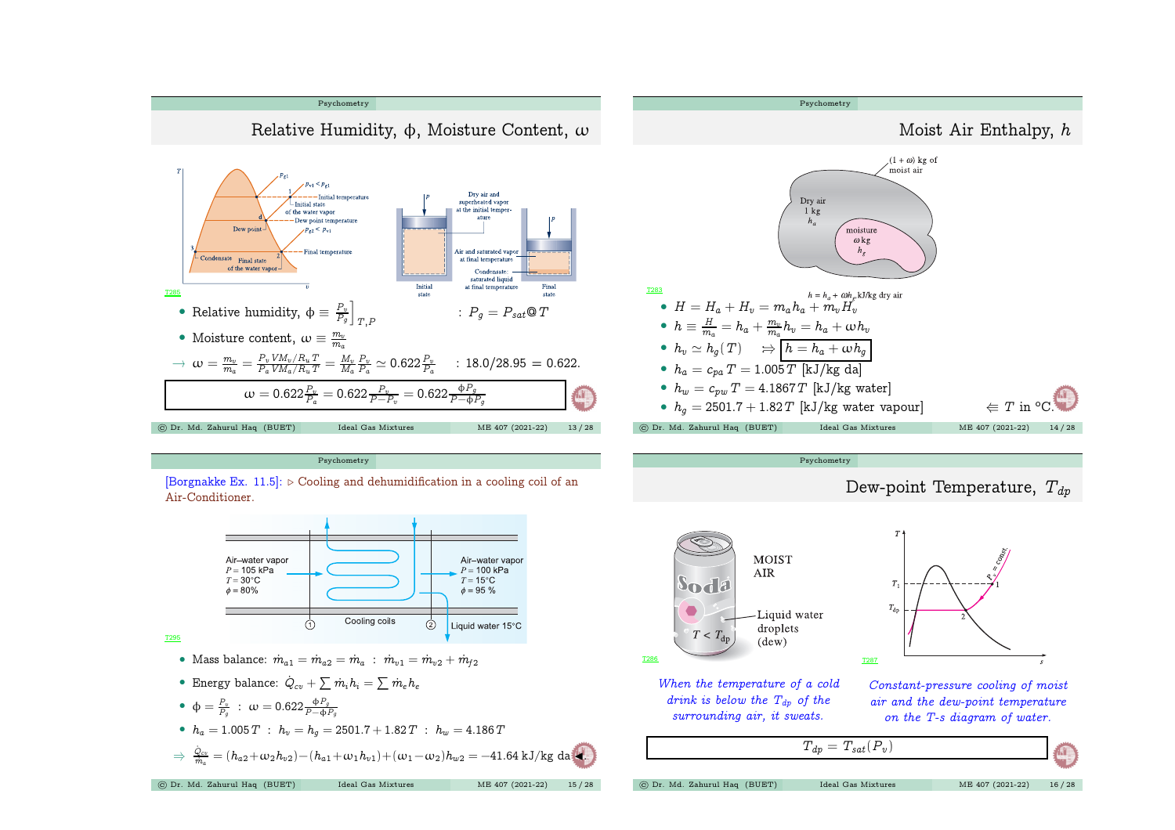







T286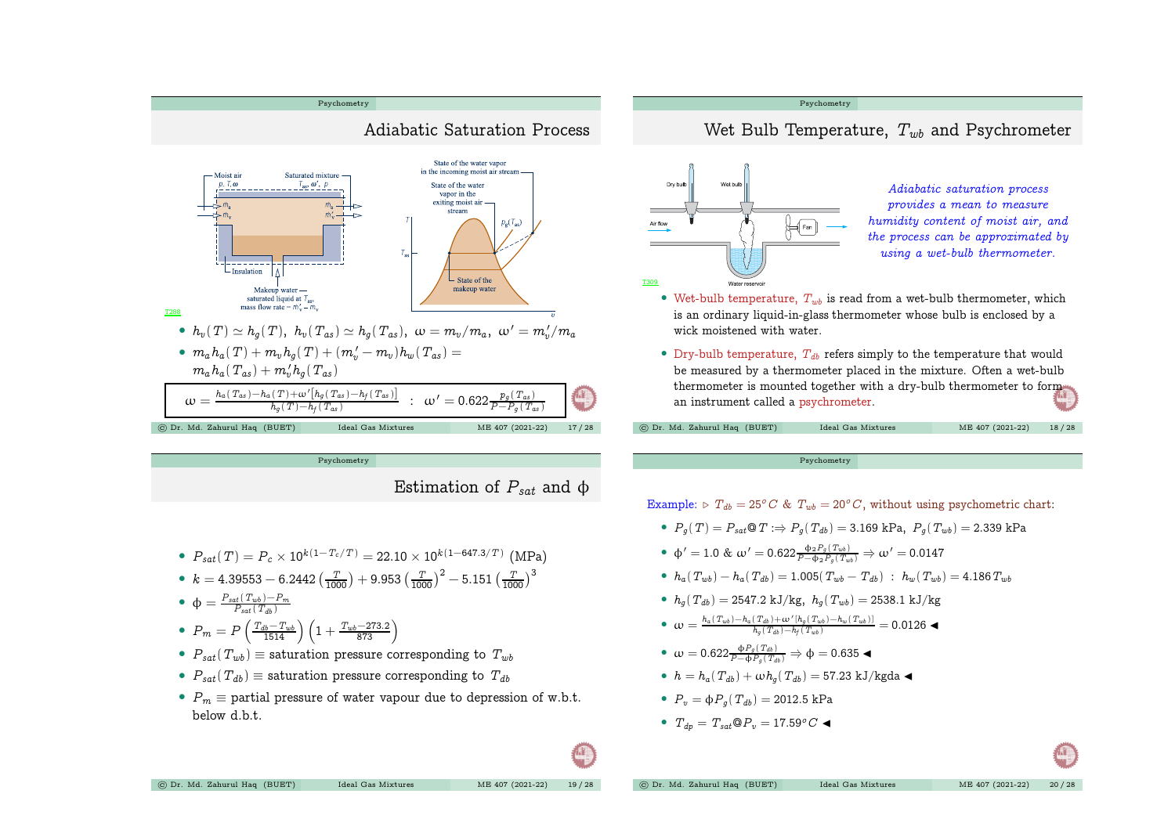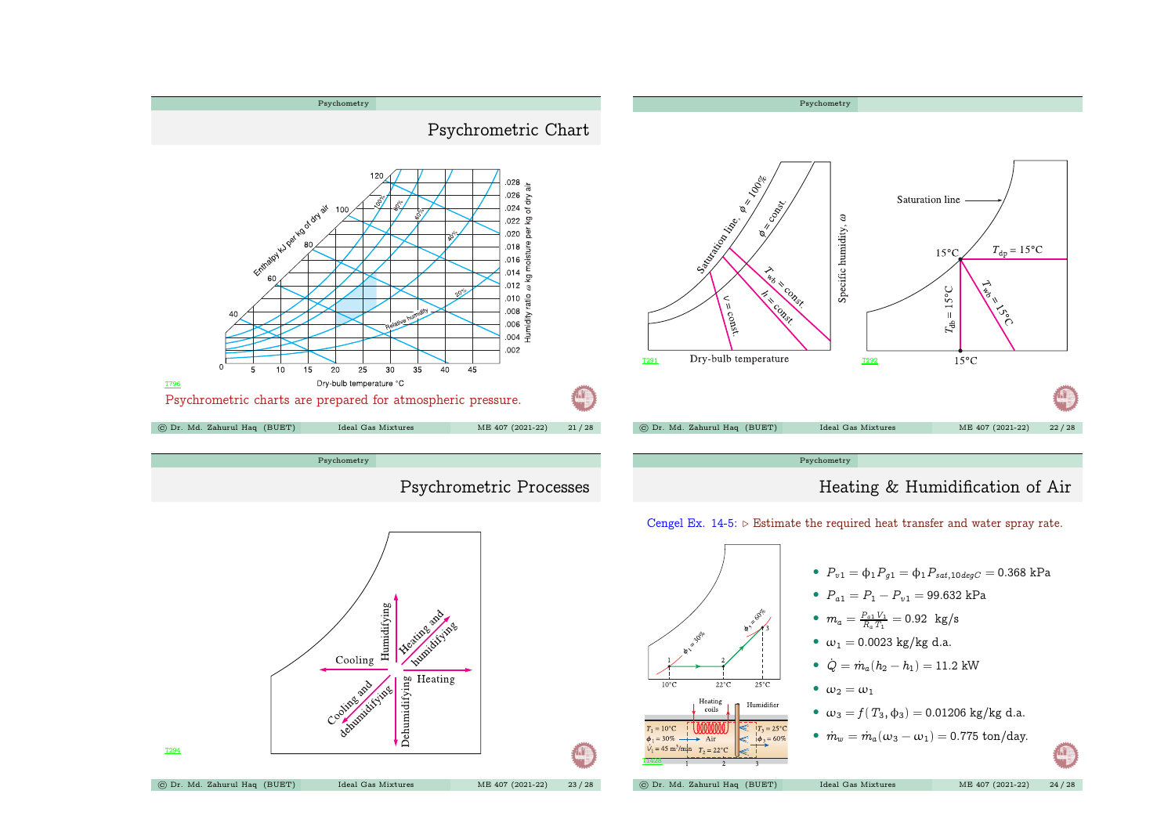